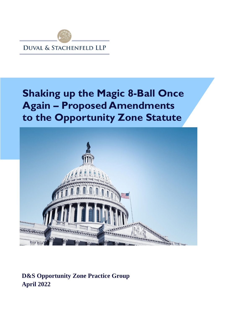

# **Shaking up the Magic 8-Ball Once Again – Proposed Amendments to the Opportunity Zone Statute**



**D&S Opportunity Zone Practice Group April 2022**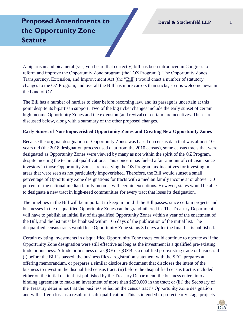# **Proposed Amendments to the Opportunity Zone Statute**

A bipartisan and bicameral (yes, you heard that correctly) bill has been introduced in Congress to reform and improve the Opportunity Zone program (the "OZ Program"). The Opportunity Zones Transparency, Extension, and Improvement Act (the "Bill") would enact a number of statutory changes to the OZ Program, and overall the Bill has more carrots than sticks, so it is welcome news in the Land of OZ.

The Bill has a number of hurdles to clear before becoming law, and its passage is uncertain at this point despite its bipartisan support. Two of the big ticket changes include the early sunset of certain high income Opportunity Zones and the extension (and revival) of certain tax incentives. These are discussed below, along with a summary of the other proposed changes.

### **Early Sunset of Non-Impoverished Opportunity Zones and Creating New Opportunity Zones**

Because the original designation of Opportunity Zones was based on census data that was almost 10 years old (the 2018 designation process used data from the 2010 census), some census tracts that were designated as Opportunity Zones were viewed by many as not within the spirit of the OZ Program, despite meeting the technical qualifications. This concern has fueled a fair amount of criticism, since investors in those Opportunity Zones are receiving the OZ Program tax incentives for investing in areas that were seen as not particularly impoverished. Therefore, the Bill would sunset a small percentage of Opportunity Zone designations for tracts with a median family income at or above 130 percent of the national median family income, with certain exceptions. However, states would be able to designate a new tract in high-need communities for every tract that loses its designation.

The timelines in the Bill will be important to keep in mind if the Bill passes, since certain projects and businesses in the disqualified Opportunity Zones can be grandfathered in. The Treasury Department will have to publish an initial list of disqualified Opportunity Zones within a year of the enactment of the Bill, and the list must be finalized within 105 days of the publication of the initial list. The disqualified census tracts would lose Opportunity Zone status 30 days after the final list is published.

Certain existing investments in disqualified Opportunity Zone tracts could continue to operate as if the Opportunity Zone designation were still effective as long as the investment is a qualified pre-existing trade or business. A trade or business of a QOF or QOZB is a qualified pre-existing trade or business if (i) before the Bill is passed, the business files a registration statement with the SEC, prepares an offering memorandum, or prepares a similar disclosure document that discloses the intent of the business to invest in the disqualified census tract; (ii) before the disqualified census tract is included either on the initial or final list published by the Treasury Department, the business enters into a binding agreement to make an investment of more than \$250,000 in the tract; or (iii) the Secretary of the Treasury determines that the business relied on the census tract's Opportunity Zone designation and will suffer a loss as a result of its disqualification. This is intended to protect early-stage projects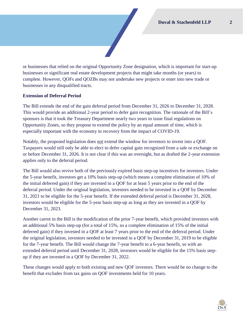or businesses that relied on the original Opportunity Zone designation, which is important for start-up businesses or significant real estate development projects that might take months (or years) to complete. However, QOFs and QOZBs may not undertake new projects or enter into new trade or businesses in any disqualified tracts.

## **Extension of Deferral Period**

The Bill extends the end of the gain deferral period from December 31, 2026 to December 31, 2028. This would provide an additional 2-year period to defer gain recognition. The rationale of the Bill's sponsors is that it took the Treasury Department nearly two years to issue final regulations on Opportunity Zones, so they propose to extend the policy by an equal amount of time, which is especially important with the economy in recovery from the impact of COVID-19.

Notably, the proposed legislation does *not* extend the window for investors to invest into a QOF. Taxpayers would still only be able to elect to defer capital gain recognized from a sale or exchange on or before December 31, 2026. It is not clear if this was an oversight, but as drafted the 2-year extension applies only to the deferral period.

The Bill would also revive both of the previously expired basis step-up incentives for investors. Under the 5-year benefit, investors get a 10% basis step-up (which means a complete elimination of 10% of the initial deferred gain) if they are invested in a QOF for at least 5 years prior to the end of the deferral period. Under the original legislation, investors needed to be invested in a QOF by December 31, 2021 to be eligible for the 5-year benefit. If the extended deferral period is December 31, 2028, investors would be eligible for the 5-year basis step-up as long as they are invested in a QOF by December 31, 2023.

Another carrot in the Bill is the modification of the prior 7-year benefit, which provided investors with an additional 5% basis step-up (for a total of 15%, so a complete elimination of 15% of the initial deferred gain) if they invested in a QOF at least 7 years prior to the end of the deferral period. Under the original legislation, investors needed to be invested in a QOF by December 31, 2019 to be eligible for the 7-year benefit. The Bill would change the 7-year benefit to a 6-year benefit, so with an extended deferral period until December 31, 2028, investors would be eligible for the 15% basis stepup if they are invested in a QOF by December 31, 2022.

These changes would apply to both existing and new QOF investors. There would be no change to the benefit that excludes from tax gains on QOF investments held for 10 years.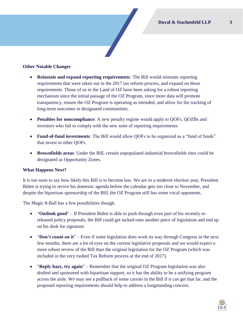### **Other Notable Changes**

- **Reinstate and expand reporting requirements**: The Bill would reinstate reporting requirements that were taken out in the 2017 tax reform process, and expand on those requirements. Those of us in the Land of OZ have been asking for a robust reporting mechanism since the initial passage of the OZ Program, since more data will promote transparency, ensure the OZ Program is operating as intended, and allow for the tracking of long-term outcomes in designated communities.
- **Penalties for noncompliance**: A new penalty regime would apply to QOFs, QOZBs and investors who fail to comply with the new suite of reporting requirements.
- **Fund-of-fund investments**: The Bill would allow QOFs to be organized as a "fund of funds" that invest in other QOFs.
- **Brownfields areas**: Under the Bill, certain unpopulated industrial brownfields sites could be designated as Opportunity Zones.

#### **What Happens Next?**

It is too soon to say how likely this Bill is to become law. We are in a midterm election year, President Biden is trying to revive his domestic agenda before the calendar gets too close to November, and despite the bipartisan sponsorship of the Bill, the OZ Program still has some vocal opponents.

The Magic 8-Ball has a few possibilities though.

- "**Outlook good**" If President Biden is able to push through even part of his recently rereleased policy proposals, the Bill could get tacked onto another piece of legislation and end up on his desk for signature.
- "**Don't count on it**" Even if some legislation does work its way through Congress in the next few months, there are a lot of eyes on the current legislative proposals and we would expect a more robust review of the Bill than the original legislation for the OZ Program (which was included in the very rushed Tax Reform process at the end of 2017).
- "Reply hazy, try again" Remember that the original OZ Program legislation was also drafted and sponsored with bipartisan support, so it has the ability to be a unifying program across the aisle. We may see a pullback of some carrots in the Bill if it can get that far, and the proposed reporting requirements should help to address a longstanding concern.